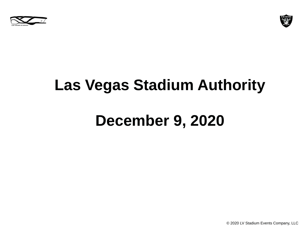



## **Las Vegas Stadium Authority**

# **December 9, 2020**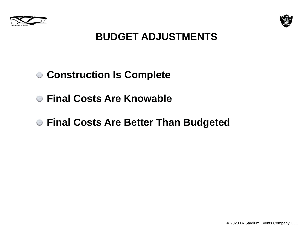



#### **BUDGET ADJUSTMENTS**

#### **Construction Is Complete**

- **Final Costs Are Knowable**
- **Final Costs Are Better Than Budgeted**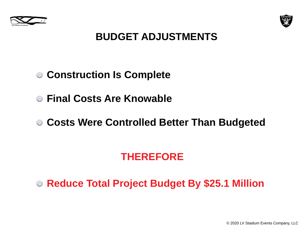



#### **BUDGET ADJUSTMENTS**

#### **Construction Is Complete**

- **Final Costs Are Knowable**
- **Costs Were Controlled Better Than Budgeted**

### **THEREFORE**

**Reduce Total Project Budget By \$25.1 Million**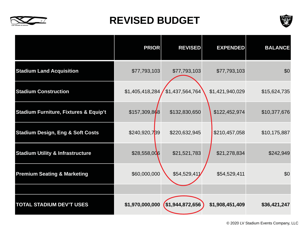

#### **REVISED BUDGET**



|                                                  | <b>PRIOR</b>    | <b>REVISED</b>  | <b>EXPENDED</b> | <b>BALANCE</b> |
|--------------------------------------------------|-----------------|-----------------|-----------------|----------------|
| <b>Stadium Land Acquisition</b>                  | \$77,793,103    | \$77,793,103    | \$77,793,103    | \$0            |
| <b>Stadium Construction</b>                      | \$1,405,418,284 | \$1,437,564,764 | \$1,421,940,029 | \$15,624,735   |
| <b>Stadium Furniture, Fixtures &amp; Equip't</b> | \$157,309,868   | \$132,830,650   | \$122,452,974   | \$10,377,676   |
| <b>Stadium Design, Eng &amp; Soft Costs</b>      | \$240,920,739   | \$220,632,945   | \$210,457,058   | \$10,175,887   |
| <b>Stadium Utility &amp; Infrastructure</b>      | \$28,558,006    | \$21,521,783    | \$21,278,834    | \$242,949      |
| <b>Premium Seating &amp; Marketing</b>           | \$60,000,000    | \$54,529,411    | \$54,529,411    | \$0            |
|                                                  |                 |                 |                 |                |
| <b>TOTAL STADIUM DEV'T USES</b>                  | \$1,970,000,000 | \$1,944,872,656 | \$1,908,451,409 | \$36,421,247   |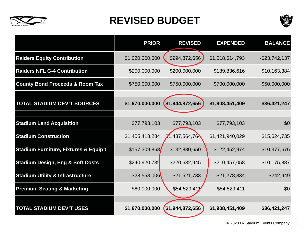

#### **REVISED BUDGET**



|                                                  | <b>PRIOR</b>    | <b>REVISED</b>  | <b>EXPENDED</b> | <b>BALANCE</b>   |
|--------------------------------------------------|-----------------|-----------------|-----------------|------------------|
| <b>Raiders Equity Contribution</b>               | \$1,020,000,000 | \$994,872,656   | \$1,018,614,793 | $-$ \$23,742,137 |
| <b>Raiders NFL G-4 Contribution</b>              | \$200,000,000   | \$200,000,000   | \$189,836,616   | \$10,163,384     |
| <b>County Bond Proceeds &amp; Room Tax</b>       | \$750,000,000   | \$750,000,000   | \$700,000,000   | \$50,000,000     |
|                                                  |                 |                 |                 |                  |
| <b>TOTAL STADIUM DEV'T SOURCES</b>               | \$1,970,000,000 | \$1,944,872,656 | \$1,908,451,409 | \$36,421,247     |
|                                                  |                 |                 |                 |                  |
| <b>Stadium Land Acquisition</b>                  | \$77,793,103    | \$77,793,103    | \$77,793,103    | \$0              |
| <b>Stadium Construction</b>                      | \$1,405,418,284 | \$1,437,564,764 | \$1,421,940,029 | \$15,624,735     |
| <b>Stadium Furniture, Fixtures &amp; Equip't</b> | \$157,309,868   | \$132,830,650   | \$122,452,974   | \$10,377,676     |
| <b>Stadium Design, Eng &amp; Soft Costs</b>      | \$240,920,739   | \$220,632,945   | \$210,457,058   | \$10,175,887     |
| <b>Stadium Utility &amp; Infrastructure</b>      | \$28,558,006    | \$21,521,783    | \$21,278,834    | \$242,949        |
| <b>Premium Seating &amp; Marketing</b>           | \$60,000,000    | \$54,529,411    | \$54,529,411    | \$0              |
|                                                  |                 |                 |                 |                  |
| <b>TOTAL STADIUM DEV'T USES</b>                  | \$1,970,000,000 | \$1,944,872,656 | \$1,908,451,409 | \$36,421,247     |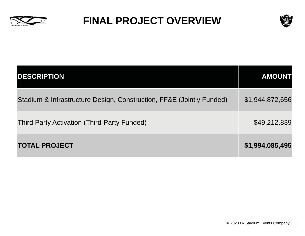

#### **FINAL PROJECT OVERVIEW**



| <b>DESCRIPTION</b>                                                   | <b>AMOUNT</b>   |
|----------------------------------------------------------------------|-----------------|
| Stadium & Infrastructure Design, Construction, FF&E (Jointly Funded) | \$1,944,872,656 |
| Third Party Activation (Third-Party Funded)                          | \$49,212,839    |
| <b>TOTAL PROJECT</b>                                                 | \$1,994,085,495 |